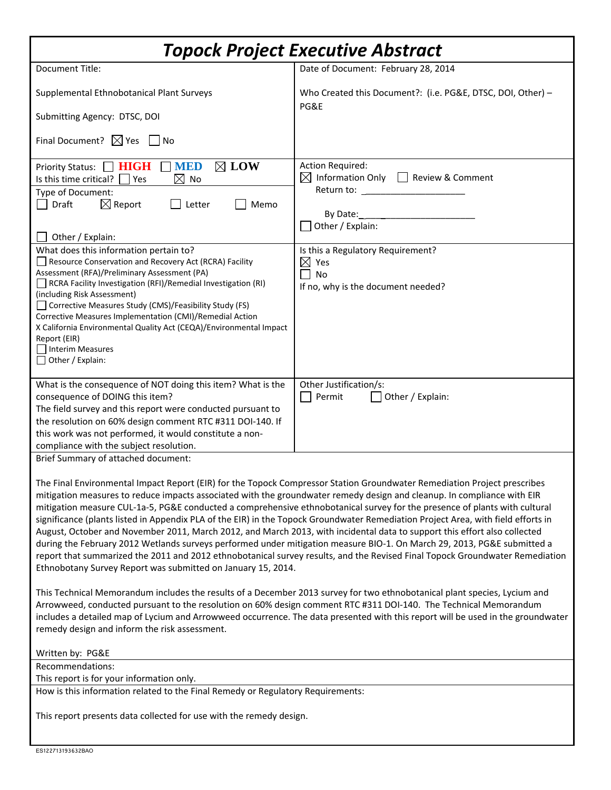| Topock Project Executive Abstract                                                                                                                                                                                                                                                                                                                                                                                                                                                                                                                                                                                                                                                                                                                                                                                                                                                                                                                                                                                                                                                                                                                                                                                                                                                                                                                                                                                                                          |                                                                                                            |
|------------------------------------------------------------------------------------------------------------------------------------------------------------------------------------------------------------------------------------------------------------------------------------------------------------------------------------------------------------------------------------------------------------------------------------------------------------------------------------------------------------------------------------------------------------------------------------------------------------------------------------------------------------------------------------------------------------------------------------------------------------------------------------------------------------------------------------------------------------------------------------------------------------------------------------------------------------------------------------------------------------------------------------------------------------------------------------------------------------------------------------------------------------------------------------------------------------------------------------------------------------------------------------------------------------------------------------------------------------------------------------------------------------------------------------------------------------|------------------------------------------------------------------------------------------------------------|
| <b>Document Title:</b>                                                                                                                                                                                                                                                                                                                                                                                                                                                                                                                                                                                                                                                                                                                                                                                                                                                                                                                                                                                                                                                                                                                                                                                                                                                                                                                                                                                                                                     | Date of Document: February 28, 2014                                                                        |
| Supplemental Ethnobotanical Plant Surveys                                                                                                                                                                                                                                                                                                                                                                                                                                                                                                                                                                                                                                                                                                                                                                                                                                                                                                                                                                                                                                                                                                                                                                                                                                                                                                                                                                                                                  | Who Created this Document?: (i.e. PG&E, DTSC, DOI, Other) -<br>PG&E                                        |
| Submitting Agency: DTSC, DOI                                                                                                                                                                                                                                                                                                                                                                                                                                                                                                                                                                                                                                                                                                                                                                                                                                                                                                                                                                                                                                                                                                                                                                                                                                                                                                                                                                                                                               |                                                                                                            |
| Final Document? $\boxtimes$ Yes $\Box$ No                                                                                                                                                                                                                                                                                                                                                                                                                                                                                                                                                                                                                                                                                                                                                                                                                                                                                                                                                                                                                                                                                                                                                                                                                                                                                                                                                                                                                  |                                                                                                            |
| <b>MED</b><br>$\boxtimes$ LOW<br>Priority Status:   HIGH<br>Is this time critical?<br>$\boxtimes$ No<br>Yes<br>Type of Document:<br>$\boxtimes$ Report<br>Memo<br>Draft<br>Letter<br>Other / Explain:                                                                                                                                                                                                                                                                                                                                                                                                                                                                                                                                                                                                                                                                                                                                                                                                                                                                                                                                                                                                                                                                                                                                                                                                                                                      | <b>Action Required:</b><br>Information Only   Review & Comment<br>⊠<br>By Date:<br>Other / Explain:        |
| What does this information pertain to?<br>Resource Conservation and Recovery Act (RCRA) Facility<br>Assessment (RFA)/Preliminary Assessment (PA)<br>RCRA Facility Investigation (RFI)/Remedial Investigation (RI)<br>(including Risk Assessment)<br>Corrective Measures Study (CMS)/Feasibility Study (FS)<br>Corrective Measures Implementation (CMI)/Remedial Action<br>X California Environmental Quality Act (CEQA)/Environmental Impact<br>Report (EIR)<br>Interim Measures<br>$\Box$ Other / Explain:                                                                                                                                                                                                                                                                                                                                                                                                                                                                                                                                                                                                                                                                                                                                                                                                                                                                                                                                                | Is this a Regulatory Requirement?<br>$\boxtimes$<br>Yes<br><b>No</b><br>If no, why is the document needed? |
| What is the consequence of NOT doing this item? What is the<br>consequence of DOING this item?<br>The field survey and this report were conducted pursuant to<br>the resolution on 60% design comment RTC #311 DOI-140. If<br>this work was not performed, it would constitute a non-<br>compliance with the subject resolution.                                                                                                                                                                                                                                                                                                                                                                                                                                                                                                                                                                                                                                                                                                                                                                                                                                                                                                                                                                                                                                                                                                                           | Other Justification/s:<br>Permit<br>Other / Explain:                                                       |
| Brief Summary of attached document:<br>The Final Environmental Impact Report (EIR) for the Topock Compressor Station Groundwater Remediation Project prescribes<br>mitigation measures to reduce impacts associated with the groundwater remedy design and cleanup. In compliance with EIR<br>mitigation measure CUL-1a-5, PG&E conducted a comprehensive ethnobotanical survey for the presence of plants with cultural<br>significance (plants listed in Appendix PLA of the EIR) in the Topock Groundwater Remediation Project Area, with field efforts in<br>August, October and November 2011, March 2012, and March 2013, with incidental data to support this effort also collected<br>during the February 2012 Wetlands surveys performed under mitigation measure BIO-1. On March 29, 2013, PG&E submitted a<br>report that summarized the 2011 and 2012 ethnobotanical survey results, and the Revised Final Topock Groundwater Remediation<br>Ethnobotany Survey Report was submitted on January 15, 2014.<br>This Technical Memorandum includes the results of a December 2013 survey for two ethnobotanical plant species, Lycium and<br>Arrowweed, conducted pursuant to the resolution on 60% design comment RTC #311 DOI-140. The Technical Memorandum<br>includes a detailed map of Lycium and Arrowweed occurrence. The data presented with this report will be used in the groundwater<br>remedy design and inform the risk assessment. |                                                                                                            |
| Written by: PG&E                                                                                                                                                                                                                                                                                                                                                                                                                                                                                                                                                                                                                                                                                                                                                                                                                                                                                                                                                                                                                                                                                                                                                                                                                                                                                                                                                                                                                                           |                                                                                                            |
| Recommendations:<br>This report is for your information only.                                                                                                                                                                                                                                                                                                                                                                                                                                                                                                                                                                                                                                                                                                                                                                                                                                                                                                                                                                                                                                                                                                                                                                                                                                                                                                                                                                                              |                                                                                                            |
| How is this information related to the Final Remedy or Regulatory Requirements:                                                                                                                                                                                                                                                                                                                                                                                                                                                                                                                                                                                                                                                                                                                                                                                                                                                                                                                                                                                                                                                                                                                                                                                                                                                                                                                                                                            |                                                                                                            |
| This report presents data collected for use with the remedy design.                                                                                                                                                                                                                                                                                                                                                                                                                                                                                                                                                                                                                                                                                                                                                                                                                                                                                                                                                                                                                                                                                                                                                                                                                                                                                                                                                                                        |                                                                                                            |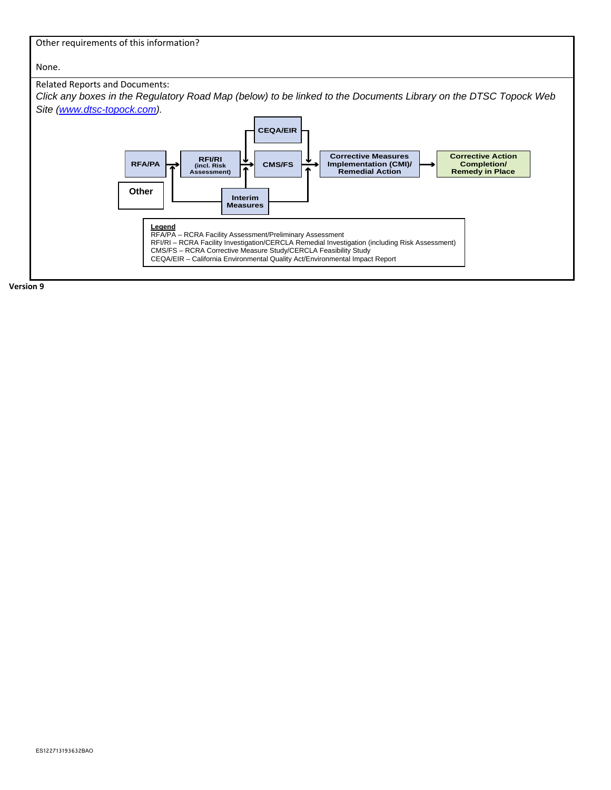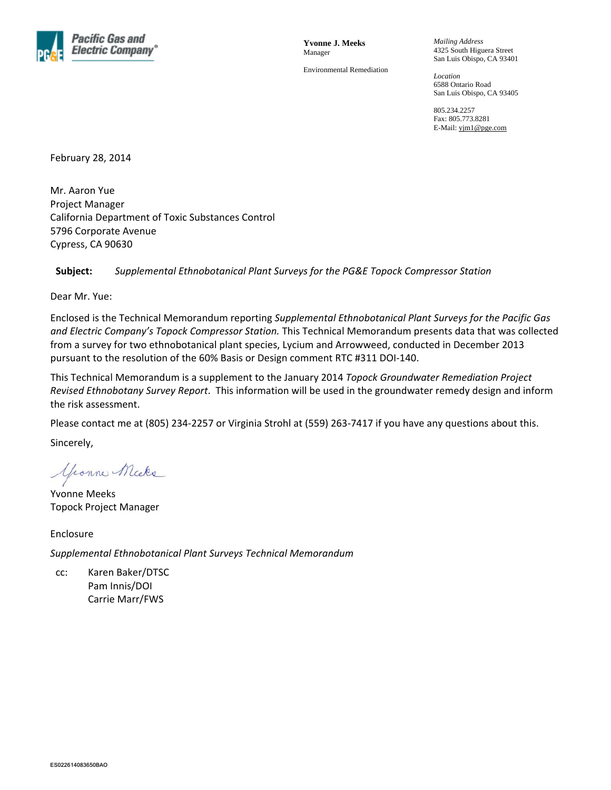

**Yvonne J. Meeks**  Manager

Environmental Remediation

*Mailing Address*  4325 South Higuera Street San Luis Obispo, CA 93401

*Location*  6588 Ontario Road San Luis Obispo, CA 93405

805.234.2257 Fax: 805.773.8281 E-Mail: yjm1@pge.com

February 28, 2014

Mr. Aaron Yue Project Manager California Department of Toxic Substances Control 5796 Corporate Avenue Cypress, CA 90630

#### **Subject:** *Supplemental Ethnobotanical Plant Surveys for the PG&E Topock Compressor Station*

Dear Mr. Yue:

Enclosed is the Technical Memorandum reporting *Supplemental Ethnobotanical Plant Surveys for the Pacific Gas and Electric Company's Topock Compressor Station.* This Technical Memorandum presents data that was collected from a survey for two ethnobotanical plant species, Lycium and Arrowweed, conducted in December 2013 pursuant to the resolution of the 60% Basis or Design comment RTC #311 DOI‐140.

This Technical Memorandum is a supplement to the January 2014 *Topock Groundwater Remediation Project Revised Ethnobotany Survey Report*. This information will be used in the groundwater remedy design and inform the risk assessment.

Please contact me at (805) 234-2257 or Virginia Strohl at (559) 263-7417 if you have any questions about this.

Sincerely,

youne Micke

Yvonne Meeks Topock Project Manager

Enclosure *Supplemental Ethnobotanical Plant Surveys Technical Memorandum*

cc: Karen Baker/DTSC Pam Innis/DOI Carrie Marr/FWS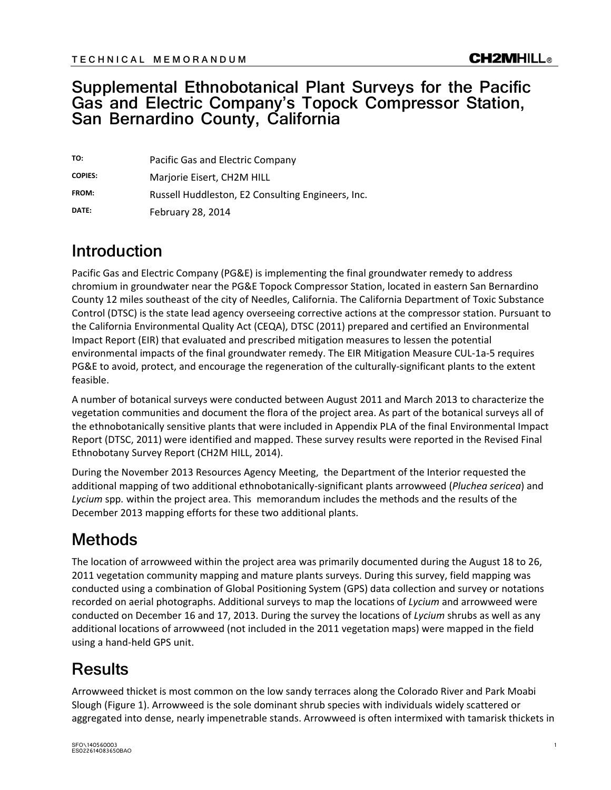### **Supplemental Ethnobotanical Plant Surveys for the Pacific Gas and Electric Company's Topock Compressor Station, San Bernardino County, California**

| TO:            | Pacific Gas and Electric Company                  |
|----------------|---------------------------------------------------|
| <b>COPIES:</b> | Marjorie Eisert, CH2M HILL                        |
| FROM:          | Russell Huddleston, E2 Consulting Engineers, Inc. |
| DATE:          | <b>February 28, 2014</b>                          |

## **Introduction**

Pacific Gas and Electric Company (PG&E) is implementing the final groundwater remedy to address chromium in groundwater near the PG&E Topock Compressor Station, located in eastern San Bernardino County 12 miles southeast of the city of Needles, California. The California Department of Toxic Substance Control (DTSC) is the state lead agency overseeing corrective actions at the compressor station. Pursuant to the California Environmental Quality Act (CEQA), DTSC (2011) prepared and certified an Environmental Impact Report (EIR) that evaluated and prescribed mitigation measures to lessen the potential environmental impacts of the final groundwater remedy. The EIR Mitigation Measure CUL‐1a‐5 requires PG&E to avoid, protect, and encourage the regeneration of the culturally‐significant plants to the extent feasible.

A number of botanical surveys were conducted between August 2011 and March 2013 to characterize the vegetation communities and document the flora of the project area. As part of the botanical surveys all of the ethnobotanically sensitive plants that were included in Appendix PLA of the final Environmental Impact Report (DTSC, 2011) were identified and mapped. These survey results were reported in the Revised Final Ethnobotany Survey Report (CH2M HILL, 2014).

During the November 2013 Resources Agency Meeting, the Department of the Interior requested the additional mapping of two additional ethnobotanically‐significant plants arrowweed (*Pluchea sericea*) and *Lycium* spp*.* within the project area. This memorandum includes the methods and the results of the December 2013 mapping efforts for these two additional plants.

# **Methods**

The location of arrowweed within the project area was primarily documented during the August 18 to 26, 2011 vegetation community mapping and mature plants surveys. During this survey, field mapping was conducted using a combination of Global Positioning System (GPS) data collection and survey or notations recorded on aerial photographs. Additional surveys to map the locations of *Lycium* and arrowweed were conducted on December 16 and 17, 2013. During the survey the locations of *Lycium* shrubs as well as any additional locations of arrowweed (not included in the 2011 vegetation maps) were mapped in the field using a hand‐held GPS unit.

# **Results**

Arrowweed thicket is most common on the low sandy terraces along the Colorado River and Park Moabi Slough (Figure 1). Arrowweed is the sole dominant shrub species with individuals widely scattered or aggregated into dense, nearly impenetrable stands. Arrowweed is often intermixed with tamarisk thickets in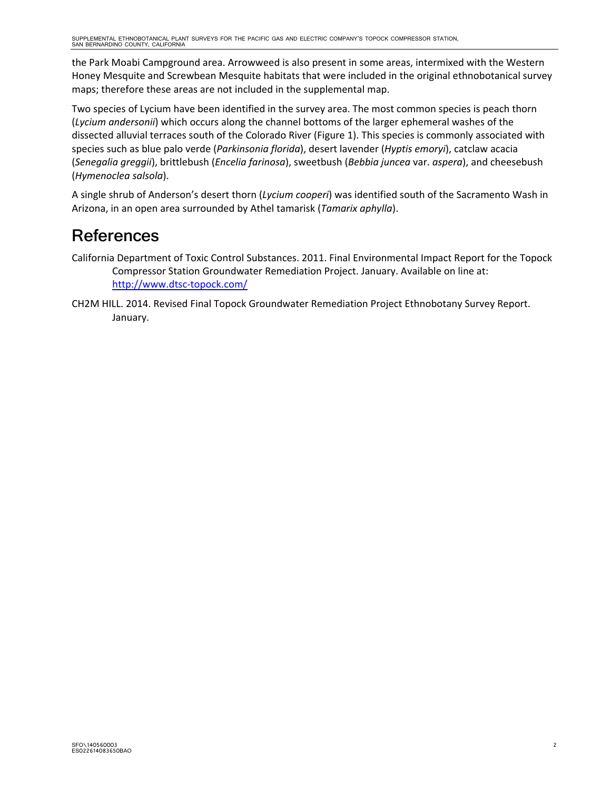the Park Moabi Campground area. Arrowweed is also present in some areas, intermixed with the Western Honey Mesquite and Screwbean Mesquite habitats that were included in the original ethnobotanical survey maps; therefore these areas are not included in the supplemental map.

Two species of Lycium have been identified in the survey area. The most common species is peach thorn (*Lycium andersonii*) which occurs along the channel bottoms of the larger ephemeral washes of the dissected alluvial terraces south of the Colorado River (Figure 1). This species is commonly associated with species such as blue palo verde (*Parkinsonia florida*), desert lavender (*Hyptis emoryi*), catclaw acacia (*Senegalia greggii*), brittlebush (*Encelia farinosa*), sweetbush (*Bebbia juncea* var. *aspera*), and cheesebush (*Hymenoclea salsola*).

A single shrub of Anderson's desert thorn (*Lycium cooperi*) was identified south of the Sacramento Wash in Arizona, in an open area surrounded by Athel tamarisk (*Tamarix aphylla*).

## **References**

California Department of Toxic Control Substances. 2011. Final Environmental Impact Report for the Topock Compressor Station Groundwater Remediation Project. January. Available on line at: http://www.dtsc‐topock.com/

CH2M HILL. 2014. Revised Final Topock Groundwater Remediation Project Ethnobotany Survey Report. January.